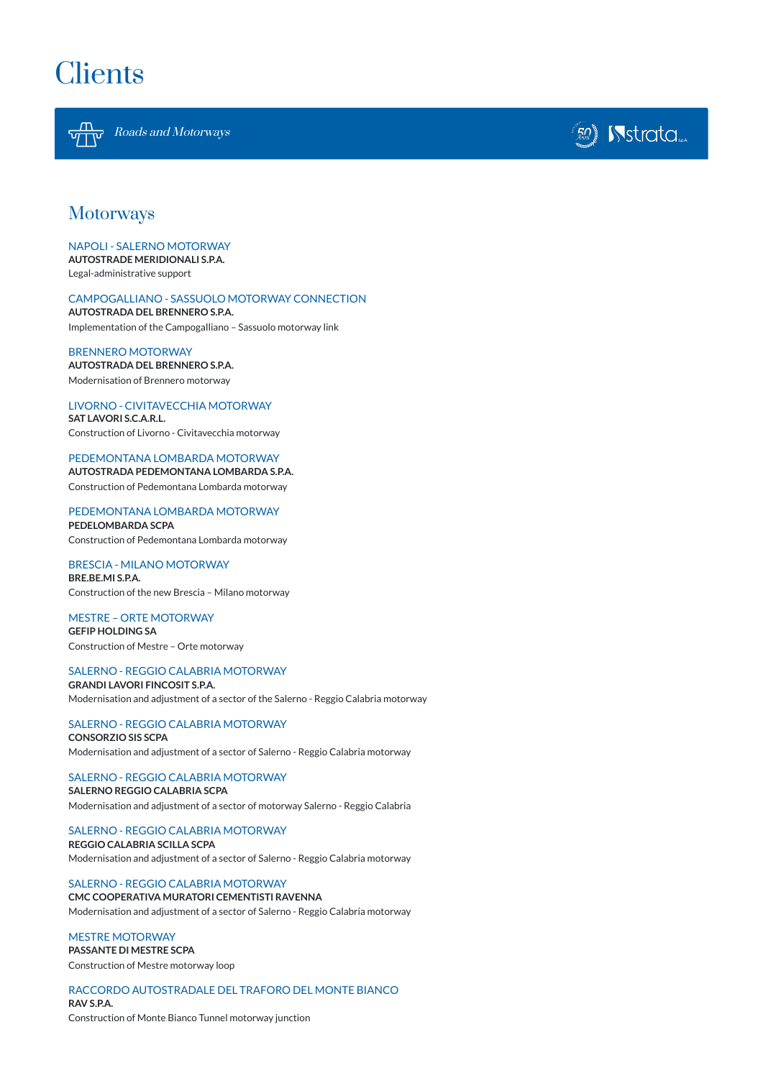

Roads and Motorways



# **Motorways**

#### NAPOLI - SALERNO MOTORWAY

**AUTOSTRADE MERIDIONALI S.P.A.**

Legal-administrative support

### CAMPOGALLIANO - SASSUOLO MOTORWAY CONNECTION

**AUTOSTRADA DEL BRENNERO S.P.A.** Implementation of the Campogalliano – Sassuolo motorway link

BRENNERO MOTORWAY **AUTOSTRADA DEL BRENNERO S.P.A.** Modernisation of Brennero motorway

LIVORNO - CIVITAVECCHIA MOTORWAY **SAT LAVORI S.C.A.R.L.**

Construction of Livorno - Civitavecchia motorway

#### PEDEMONTANA LOMBARDA MOTORWAY **AUTOSTRADA PEDEMONTANA LOMBARDA S.P.A.**

Construction of Pedemontana Lombarda motorway

PEDEMONTANA LOMBARDA MOTORWAY

**PEDELOMBARDA SCPA** Construction of Pedemontana Lombarda motorway

BRESCIA - MILANO MOTORWAY **BRE.BE.MI S.P.A.** Construction of the new Brescia – Milano motorway

MESTRE – ORTE MOTORWAY **GEFIP HOLDING SA** Construction of Mestre – Orte motorway

SALERNO - REGGIO CALABRIA MOTORWAY **GRANDI LAVORI FINCOSIT S.P.A.** Modernisation and adjustment of a sector of the Salerno - Reggio Calabria motorway

## SALERNO - REGGIO CALABRIA MOTORWAY

**CONSORZIO SIS SCPA** Modernisation and adjustment of a sector of Salerno - Reggio Calabria motorway

## SALERNO - REGGIO CALABRIA MOTORWAY

**SALERNO REGGIO CALABRIA SCPA** Modernisation and adjustment of a sector of motorway Salerno - Reggio Calabria

#### SALERNO - REGGIO CALABRIA MOTORWAY **REGGIO CALABRIA SCILLA SCPA**

Modernisation and adjustment of a sector of Salerno - Reggio Calabria motorway

#### SALERNO - REGGIO CALABRIA MOTORWAY **CMC COOPERATIVA MURATORI CEMENTISTI RAVENNA**

Modernisation and adjustment of a sector of Salerno - Reggio Calabria motorway

#### MESTRE MOTORWAY **PASSANTE DI MESTRE SCPA**

Construction of Mestre motorway loop

## RACCORDO AUTOSTRADALE DEL TRAFORO DEL MONTE BIANCO **RAV S.P.A.**

Construction of Monte Bianco Tunnel motorway junction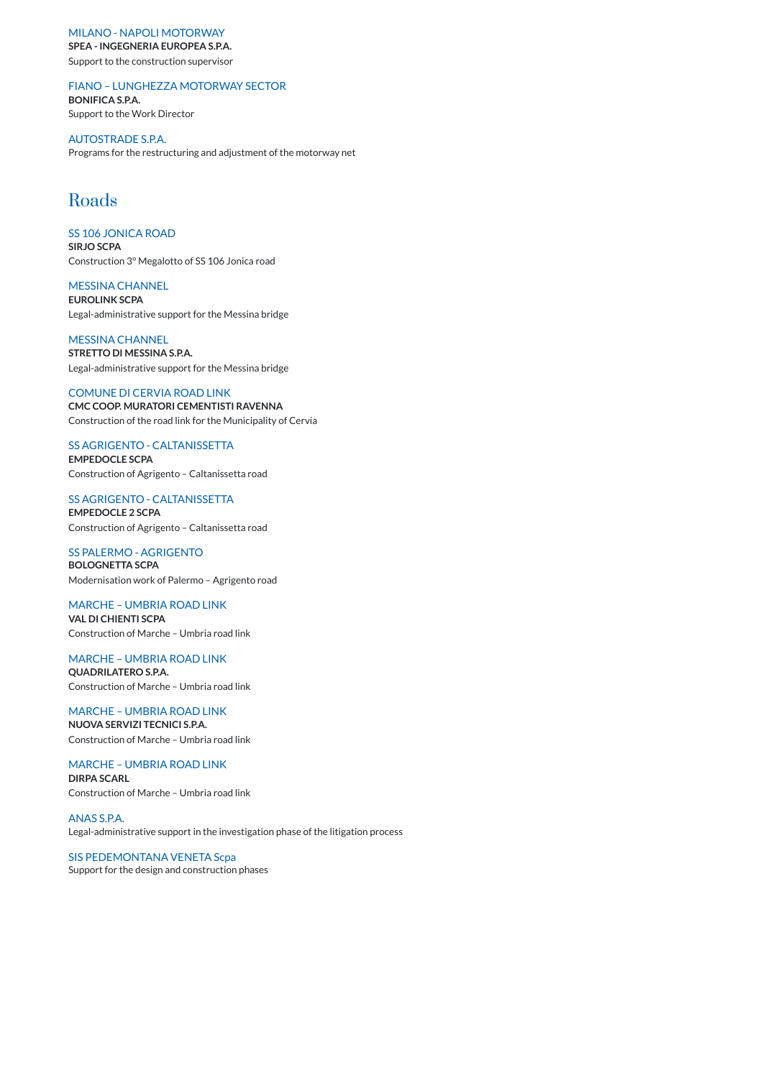#### MILANO - NAPOLI MOTORWAY

**SPEA - INGEGNERIA EUROPEA S.P.A.**

Support to the construction supervisor

#### FIANO – LUNGHEZZA MOTORWAY SECTOR

**BONIFICA S.P.A.** Support to the Work Director

AUTOSTRADE S.P.A. Programs for the restructuring and adjustment of the motorway net

# Roads

SS 106 JONICA ROAD **SIRJO SCPA** Construction 3° Megalotto of SS 106 Jonica road

#### MESSINA CHANNEL

**EUROLINK SCPA** Legal-administrative support for the Messina bridge

MESSINA CHANNEL **STRETTO DI MESSINA S.P.A.** Legal-administrative support for the Messina bridge

#### COMUNE DI CERVIA ROAD LINK

**CMC COOP. MURATORI CEMENTISTI RAVENNA** Construction of the road link for the Municipality of Cervia

#### SS AGRIGENTO - CALTANISSETTA

**EMPEDOCLE SCPA** Construction of Agrigento – Caltanissetta road

## SS AGRIGENTO - CALTANISSETTA

**EMPEDOCLE 2 SCPA** Construction of Agrigento – Caltanissetta road

SS PALERMO - AGRIGENTO **BOLOGNETTA SCPA** Modernisation work of Palermo – Agrigento road

MARCHE – UMBRIA ROAD LINK

**VAL DI CHIENTI SCPA** Construction of Marche – Umbria road link

## MARCHE – UMBRIA ROAD LINK **QUADRILATERO S.P.A.** Construction of Marche – Umbria road link

MARCHE – UMBRIA ROAD LINK **NUOVA SERVIZI TECNICI S.P.A.** Construction of Marche – Umbria road link

## MARCHE – UMBRIA ROAD LINK **DIRPA SCARL** Construction of Marche – Umbria road link

### ANAS S.P.A.

Legal-administrative support in the investigation phase of the litigation process

## SIS PEDEMONTANA VENETA Scpa

Support for the design and construction phases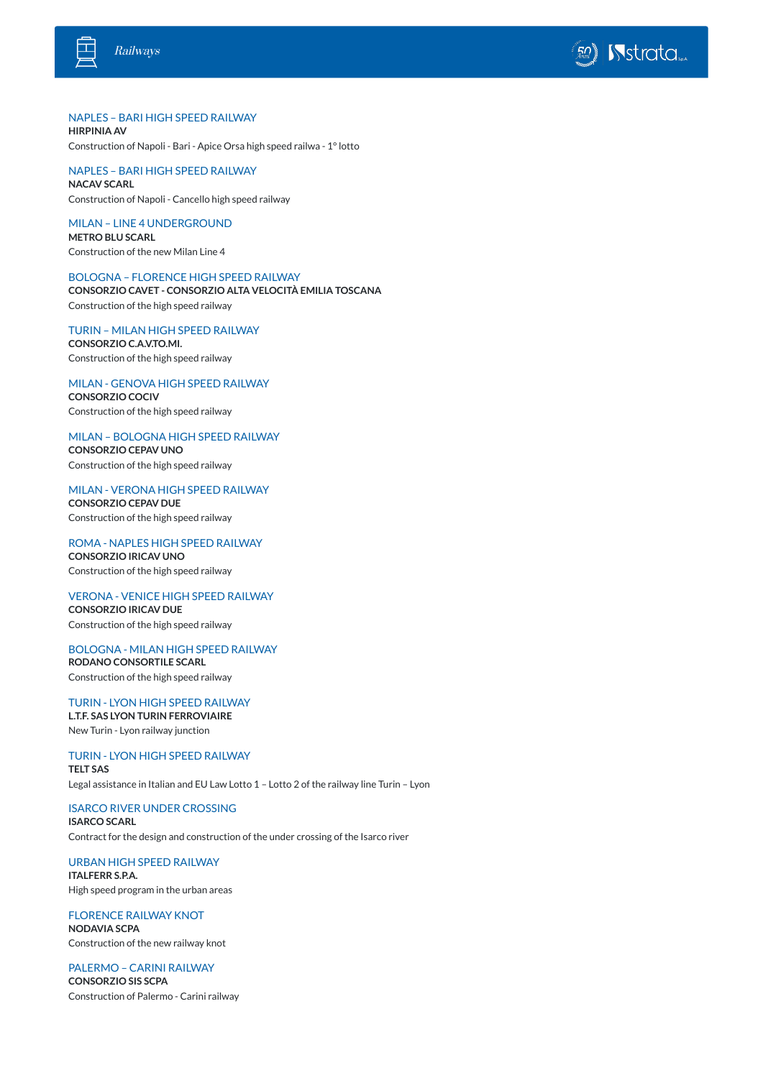



### NAPLES – BARI HIGH SPEED RAILWAY

**HIRPINIA AV** Construction of Napoli - Bari - Apice Orsa high speed railwa - 1°lotto

NAPLES – BARI HIGH SPEED RAILWAY **NACAV SCARL**

Construction of Napoli - Cancello high speed railway

MILAN – LINE 4 UNDERGROUND **METRO BLU SCARL** Construction of the new Milan Line 4

BOLOGNA – FLORENCE HIGH SPEED RAILWAY **CONSORZIO CAVET - CONSORZIO ALTA VELOCITÀ EMILIA TOSCANA** Construction of the high speed railway

TURIN – MILAN HIGH SPEED RAILWAY **CONSORZIO C.A.V.TO.MI.**

Construction of the high speed railway

MILAN - GENOVA HIGH SPEED RAILWAY **CONSORZIO COCIV** Construction of the high speed railway

MILAN – BOLOGNA HIGH SPEED RAILWAY **CONSORZIO CEPAV UNO** Construction of the high speed railway

MILAN - VERONA HIGH SPEED RAILWAY **CONSORZIO CEPAV DUE** Construction of the high speed railway

ROMA - NAPLES HIGH SPEED RAILWAY **CONSORZIO IRICAV UNO** Construction of the high speed railway

VERONA - VENICE HIGH SPEED RAILWAY **CONSORZIO IRICAV DUE** Construction of the high speed railway

BOLOGNA - MILAN HIGH SPEED RAILWAY **RODANO CONSORTILE SCARL**

Construction of the high speed railway

#### TURIN - LYON HIGH SPEED RAILWAY **L.T.F. SAS LYON TURIN FERROVIAIRE**

New Turin - Lyon railway junction

TURIN - LYON HIGH SPEED RAILWAY **TELT SAS**

Legal assistance in Italian and EU Law Lotto 1 – Lotto 2 of the railway line Turin – Lyon

ISARCO RIVER UNDER CROSSING

#### **ISARCO SCARL**

Contract for the design and construction of the under crossing of the Isarco river

## URBAN HIGH SPEED RAILWAY

#### **ITALFERR S.P.A.**

High speed program in the urban areas

## FLORENCE RAILWAY KNOT **NODAVIA SCPA**

Construction of the new railway knot

## PALERMO – CARINI RAILWAY **CONSORZIO SIS SCPA**

Construction of Palermo - Carini railway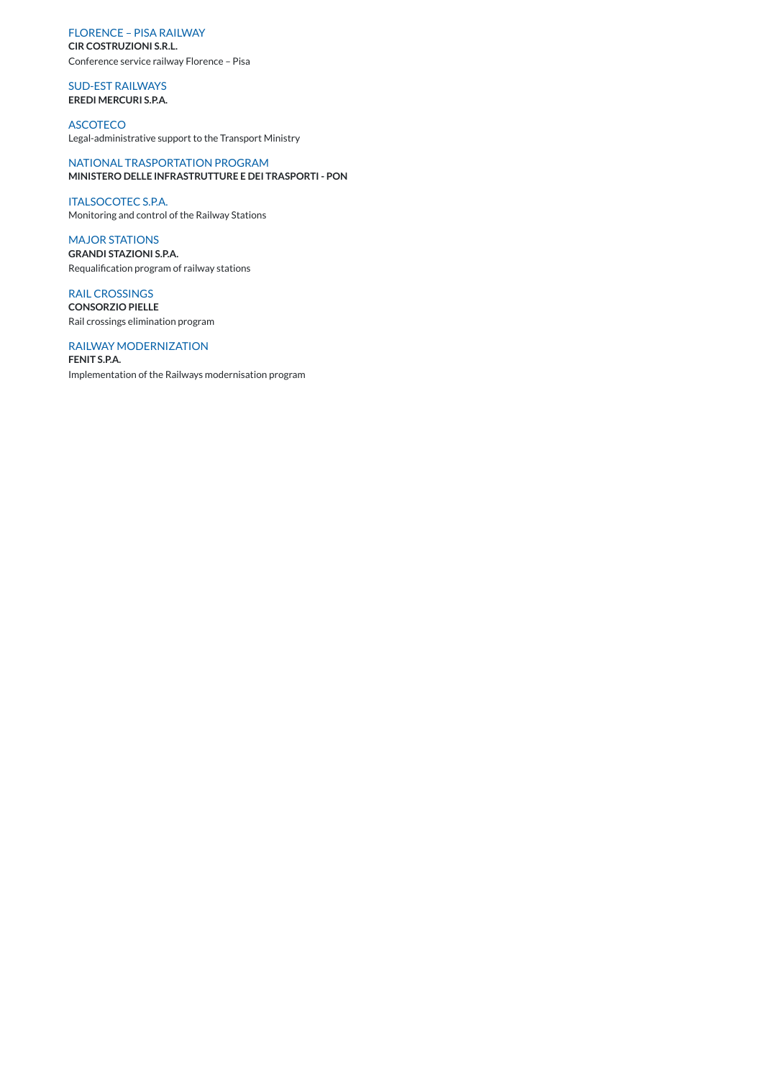FLORENCE – PISA RAILWAY

**CIR COSTRUZIONI S.R.L.**

Conference service railway Florence – Pisa

SUD-EST RAILWAYS **EREDI MERCURI S.P.A.**

ASCOTECO Legal-administrative support to the Transport Ministry

NATIONAL TRASPORTATION PROGRAM **MINISTERO DELLE INFRASTRUTTURE E DEI TRASPORTI - PON**

ITALSOCOTEC S.P.A. Monitoring and control of the Railway Stations

MAJOR STATIONS **GRANDI STAZIONI S.P.A.** Requalification program of railway stations

RAIL CROSSINGS **CONSORZIO PIELLE** Rail crossings elimination program

RAILWAY MODERNIZATION **FENIT S.P.A.** Implementation of the Railways modernisation program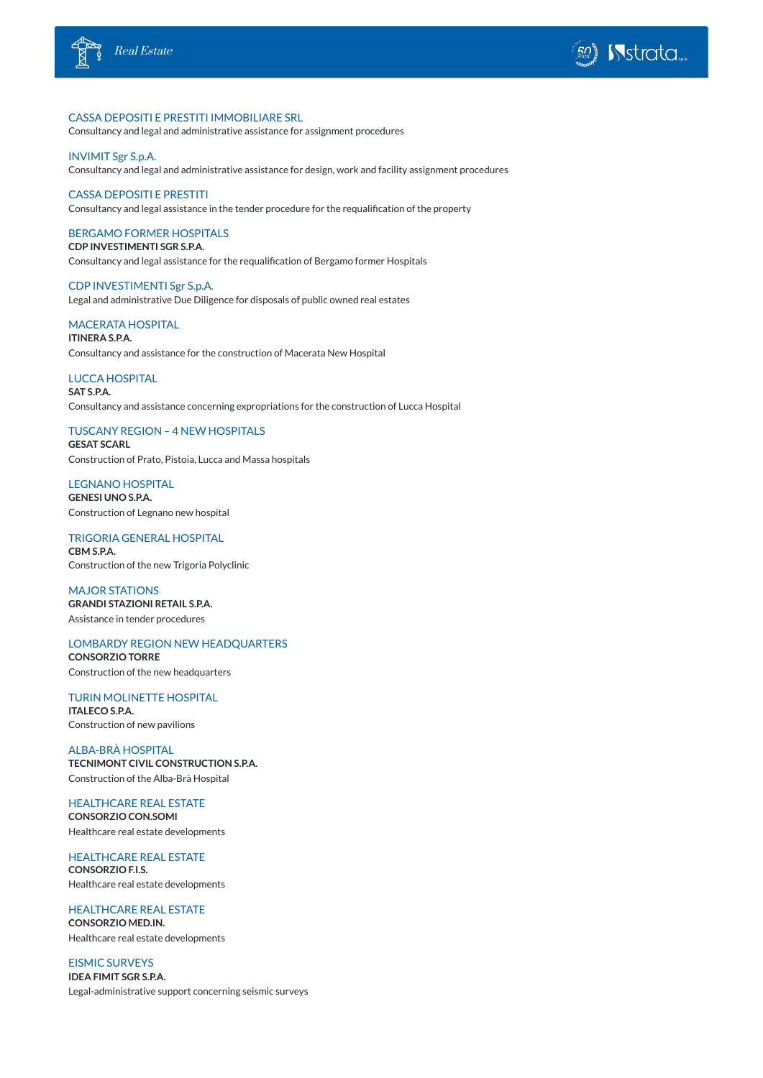



### CASSA DEPOSITI E PRESTITI IMMOBILIARE SRL

Consultancy and legal and administrative assistance for assignment procedures

## INVIMIT Sgr S.p.A.

Consultancy and legal and administrative assistance for design, work and facility assignment procedures

## CASSA DEPOSITI E PRESTITI

Consultancy and legal assistance in the tender procedure for the requalification of the property

### BERGAMO FORMER HOSPITALS

**CDP INVESTIMENTI SGR S.P.A.** Consultancy and legal assistance for the requalification of Bergamo former Hospitals

### CDP INVESTIMENTI Sgr S.p.A.

Legal and administrative Due Diligence for disposals of public owned real estates

## MACERATA HOSPITAL

**ITINERA S.P.A.** Consultancy and assistance for the construction of Macerata New Hospital

## LUCCA HOSPITAL

**SAT S.P.A.** Consultancy and assistance concerning expropriations for the construction of Lucca Hospital

## TUSCANY REGION – 4 NEW HOSPITALS

**GESAT SCARL** Construction of Prato, Pistoia, Lucca and Massa hospitals

LEGNANO HOSPITAL **GENESI UNO S.P.A.** Construction of Legnano new hospital

## TRIGORIA GENERAL HOSPITAL **CBM S.P.A.** Construction of the new Trigoria Polyclinic

MAJOR STATIONS **GRANDI STAZIONI RETAIL S.P.A.** Assistance in tender procedures

## LOMBARDY REGION NEW HEADQUARTERS **CONSORZIO TORRE** Construction of the new headquarters

TURIN MOLINETTE HOSPITAL **ITALECO S.P.A.** Construction of new pavilions

## ALBA-BRÀ HOSPITAL

**TECNIMONT CIVIL CONSTRUCTION S.P.A.** Construction of the Alba-Brà Hospital

## HEALTHCARE REAL ESTATE

#### **CONSORZIO CON.SOMI**

Healthcare real estate developments

HEALTHCARE REAL ESTATE **CONSORZIO F.I.S.** Healthcare real estate developments

## HEALTHCARE REAL ESTATE **CONSORZIO MED.IN.**

Healthcare real estate developments

EISMIC SURVEYS **IDEA FIMIT SGR S.P.A.** Legal-administrative support concerning seismic surveys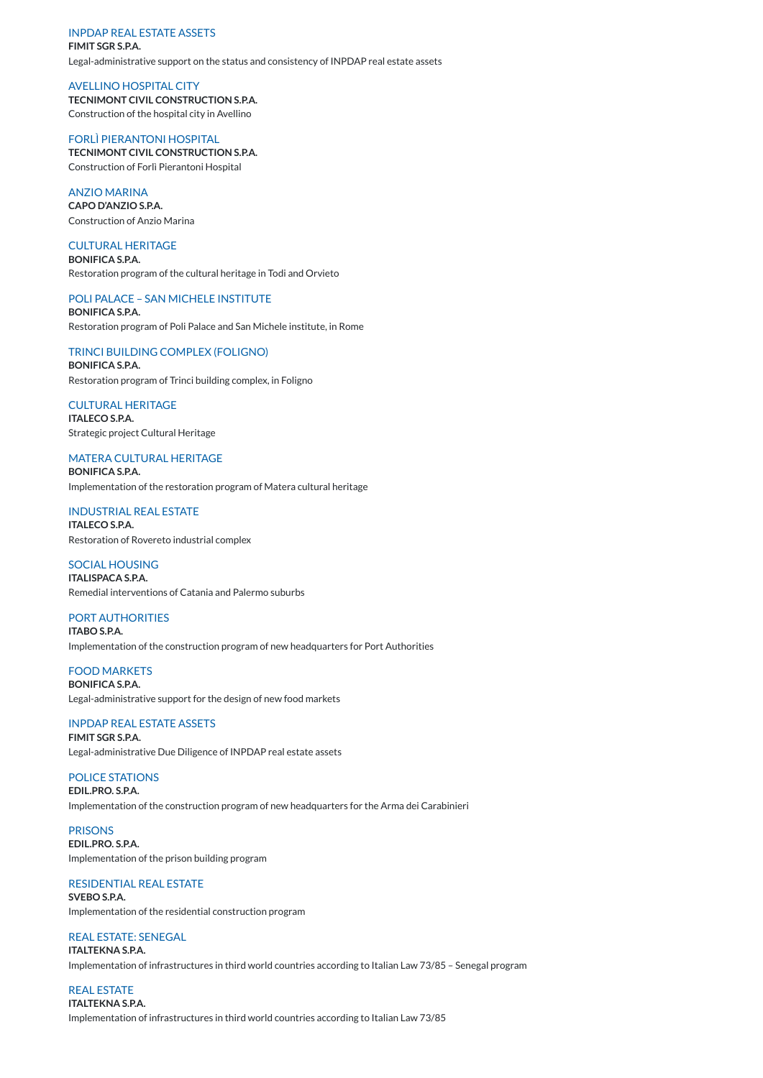#### INPDAP REAL ESTATE ASSETS

**FIMIT SGR S.P.A.** Legal-administrative support on the status and consistency of INPDAP real estate assets

AVELLINO HOSPITAL CITY **TECNIMONT CIVIL CONSTRUCTION S.P.A.** Construction of the hospital city in Avellino

### FORLÌ PIERANTONI HOSPITAL

**TECNIMONT CIVIL CONSTRUCTION S.P.A.** Construction of Forlì Pierantoni Hospital

#### ANZIO MARINA

**CAPO D'ANZIO S.P.A.** Construction of Anzio Marina

### CULTURAL HERITAGE

**BONIFICA S.P.A.** Restoration program of the cultural heritage in Todi and Orvieto

## POLI PALACE – SAN MICHELE INSTITUTE

**BONIFICA S.P.A.** Restoration program of Poli Palace and San Michele institute, in Rome

TRINCI BUILDING COMPLEX (FOLIGNO) **BONIFICA S.P.A.**

Restoration program of Trinci building complex, in Foligno

CULTURAL HERITAGE **ITALECO S.P.A.** Strategic project Cultural Heritage

## MATERA CULTURAL HERITAGE

**BONIFICA S.P.A.** Implementation of the restoration program of Matera cultural heritage

INDUSTRIAL REAL ESTATE **ITALECO S.P.A.** Restoration of Rovereto industrial complex

## SOCIAL HOUSING

**ITALISPACA S.P.A.** Remedial interventions of Catania and Palermo suburbs

PORT AUTHORITIES **ITABO S.P.A.** Implementation of the construction program of new headquarters for Port Authorities

FOOD MARKETS **BONIFICA S.P.A.** Legal-administrative support for the design of new food markets

#### INPDAP REAL ESTATE ASSETS

**FIMIT SGR S.P.A.** Legal-administrative Due Diligence of INPDAP real estate assets

POLICE STATIONS

**EDIL.PRO. S.P.A.** Implementation of the construction program of new headquarters for the Arma dei Carabinieri

### PRISONS **EDIL.PRO. S.P.A.**

Implementation of the prison building program

#### RESIDENTIAL REAL ESTATE **SVEBO S.P.A.**

Implementation of the residential construction program

## REAL ESTATE: SENEGAL

**ITALTEKNA S.P.A.**

Implementation of infrastructures in third world countries according to Italian Law 73/85 – Senegal program

REAL ESTATE **ITALTEKNA S.P.A.**

Implementation of infrastructures in third world countries according to Italian Law 73/85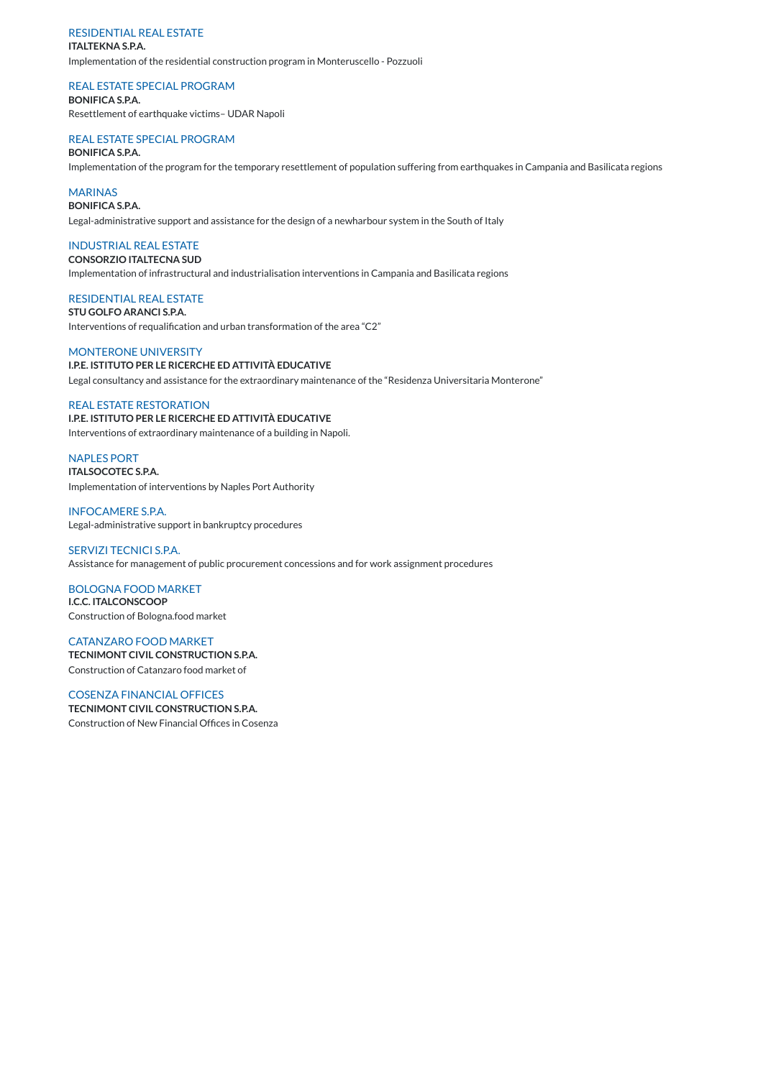## RESIDENTIAL REAL ESTATE

#### **ITALTEKNA S.P.A.**

Implementation of the residential construction program in Monteruscello - Pozzuoli

### REAL ESTATE SPECIAL PROGRAM

**BONIFICA S.P.A.** Resettlement of earthquake victims– UDAR Napoli

## REAL ESTATE SPECIAL PROGRAM

#### **BONIFICA S.P.A.**

Implementation of the program for the temporary resettlement of population suffering from earthquakes in Campania and Basilicata regions

## **MARINAS**

**BONIFICA S.P.A.**

Legal-administrative support and assistance for the design of a newharbour system in the South of Italy

## INDUSTRIAL REAL ESTATE

## **CONSORZIO ITALTECNA SUD** Implementation of infrastructural and industrialisation interventions in Campania and Basilicata regions

## RESIDENTIAL REAL ESTATE

**STU GOLFO ARANCI S.P.A.** Interventions of requalification and urban transformation of the area "C2"

MONTERONE UNIVERSITY **I.P.E. ISTITUTO PER LE RICERCHE ED ATTIVITÀ EDUCATIVE** Legal consultancy and assistance for the extraordinary maintenance of the "Residenza Universitaria Monterone"

## REAL ESTATE RESTORATION

**I.P.E. ISTITUTO PER LE RICERCHE ED ATTIVITÀ EDUCATIVE** Interventions of extraordinary maintenance of a building in Napoli.

NAPLES PORT

**ITALSOCOTEC S.P.A.** Implementation of interventions by Naples Port Authority

INFOCAMERE S.P.A. Legal-administrative support in bankruptcy procedures

SERVIZI TECNICI S.P.A. Assistance for management of public procurement concessions and for work assignment procedures

BOLOGNA FOOD MARKET **I.C.C. ITALCONSCOOP** Construction of Bologna.food market

CATANZARO FOOD MARKET **TECNIMONT CIVIL CONSTRUCTION S.P.A.** Construction of Catanzaro food market of

## COSENZA FINANCIAL OFFICES

**TECNIMONT CIVIL CONSTRUCTION S.P.A.** Construction of New Financial Offices in Cosenza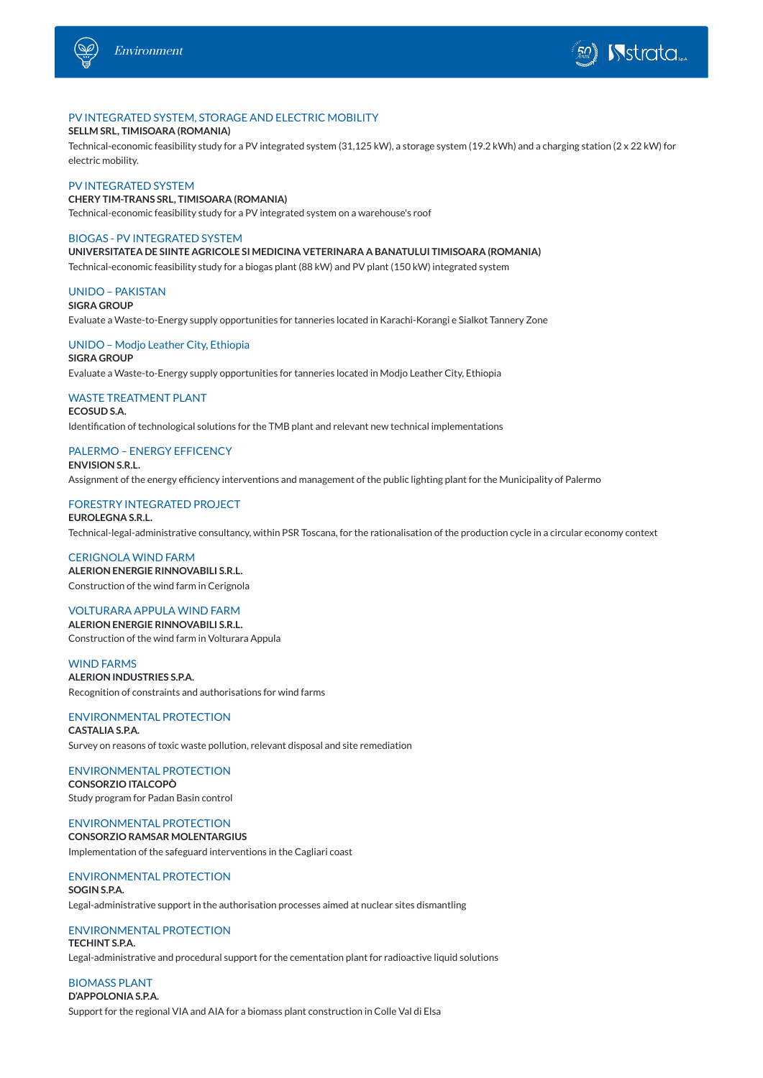



## PV INTEGRATED SYSTEM, STORAGE AND ELECTRIC MOBILITY

#### **SELLM SRL, TIMISOARA (ROMANIA)**

Technical-economic feasibility study for a PV integrated system (31,125 kW), a storage system (19.2 kWh) and a charging station (2 x 22 kW) for electric mobility.

#### PV INTEGRATED SYSTEM

**CHERY TIM-TRANS SRL, TIMISOARA (ROMANIA)** Technical-economic feasibility study for a PV integrated system on a warehouse's roof

#### BIOGAS - PV INTEGRATED SYSTEM

**UNIVERSITATEA DE SIINTE AGRICOLE SI MEDICINA VETERINARA A BANATULUI TIMISOARA (ROMANIA)**

Technical-economic feasibility study for a biogas plant (88 kW) and PV plant (150 kW) integrated system

#### UNIDO – PAKISTAN

**SIGRA GROUP**

Evaluate a Waste-to-Energy supply opportunities for tanneries located in Karachi-Korangi e Sialkot Tannery Zone

### UNIDO – Modjo Leather City, Ethiopia

**SIGRA GROUP** Evaluate a Waste-to-Energy supply opportunities for tanneries located in Modjo Leather City, Ethiopia

## WASTE TREATMENT PLANT

**ECOSUD S.A.** Identification of technological solutions for the TMB plant and relevant new technical implementations

#### PALERMO – ENERGY EFFICENCY

**ENVISION S.R.L.** Assignment of the energy efficiency interventions and management of the public lighting plant for the Municipality of Palermo

#### FORESTRY INTEGRATED PROJECT

**EUROLEGNA S.R.L.** Technical-legal-administrative consultancy, within PSR Toscana, for the rationalisation of the production cycle in a circular economy context

CERIGNOLA WIND FARM **ALERION ENERGIE RINNOVABILI S.R.L.** Construction of the wind farm in Cerignola

### VOLTURARA APPULA WIND FARM

**ALERION ENERGIE RINNOVABILI S.R.L.** Construction of the wind farm in Volturara Appula

## WIND FARMS

**ALERION INDUSTRIES S.P.A.** Recognition of constraints and authorisations for wind farms

#### ENVIRONMENTAL PROTECTION

**CASTALIA S.P.A.** Survey on reasons of toxic waste pollution, relevant disposal and site remediation

ENVIRONMENTAL PROTECTION **CONSORZIO ITALCOPÒ** Study program for Padan Basin control

## ENVIRONMENTAL PROTECTION **CONSORZIO RAMSAR MOLENTARGIUS**

Implementation of the safeguard interventions in the Cagliari coast

## ENVIRONMENTAL PROTECTION **SOGIN S.P.A.**

Legal-administrative support in the authorisation processes aimed at nuclear sites dismantling

## ENVIRONMENTAL PROTECTION

## **TECHINT S.P.A.**

Legal-administrative and procedural support for the cementation plant for radioactive liquid solutions

### BIOMASS PLANT **D'APPOLONIA S.P.A.**

Support for the regional VIA and AIA for a biomass plant construction in Colle Val di Elsa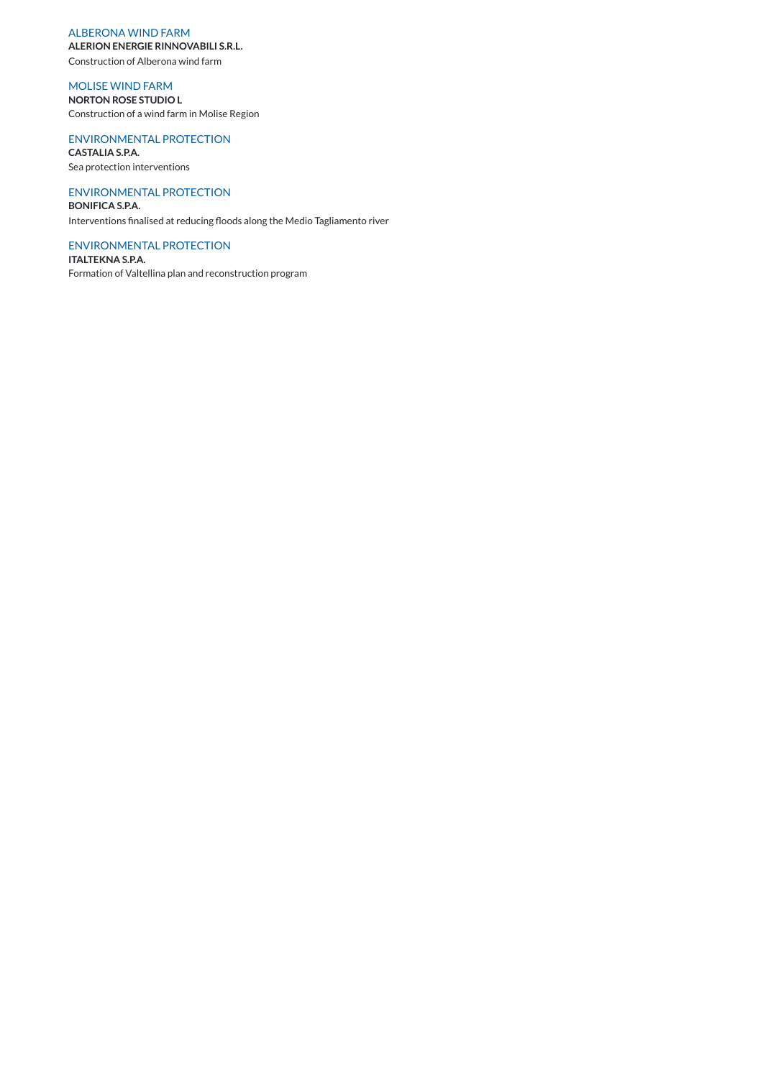## ALBERONA WIND FARM

**ALERION ENERGIE RINNOVABILI S.R.L.**

Construction of Alberona wind farm

## MOLISE WIND FARM

**NORTON ROSE STUDIO L** Construction of a wind farm in Molise Region

## ENVIRONMENTAL PROTECTION

**CASTALIA S.P.A.** Sea protection interventions

## ENVIRONMENTAL PROTECTION

**BONIFICA S.P.A.** Interventions finalised at reducing floods along the Medio Tagliamento river

### ENVIRONMENTAL PROTECTION

**ITALTEKNA S.P.A.** Formation of Valtellina plan and reconstruction program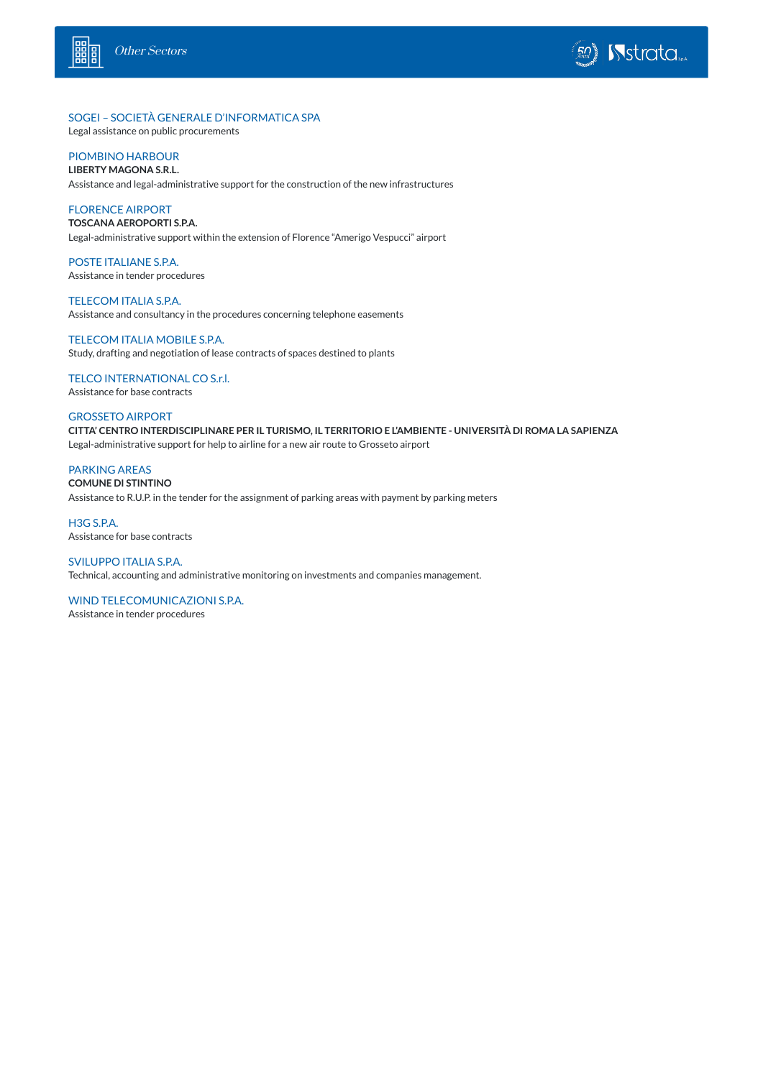



## SOGEI – SOCIETÀ GENERALE D'INFORMATICA SPA

Legal assistance on public procurements

## PIOMBINO HARBOUR

**LIBERTY MAGONA S.R.L.**

Assistance and legal-administrative support for the construction of the new infrastructures

## FLORENCE AIRPORT

**TOSCANA AEROPORTI S.P.A.**

Legal-administrative support within the extension of Florence "Amerigo Vespucci" airport

## POSTE ITALIANE S.P.A. Assistance in tender procedures

TELECOM ITALIA S.P.A. Assistance and consultancy in the procedures concerning telephone easements

## TELECOM ITALIA MOBILE S.P.A.

Study, drafting and negotiation of lease contracts of spaces destined to plants

## TELCO INTERNATIONAL CO S.r.l.

Assistance for base contracts

## GROSSETO AIRPORT

**CITTA' CENTRO INTERDISCIPLINARE PER IL TURISMO, IL TERRITORIO E L'AMBIENTE - UNIVERSITÀ DI ROMA LA SAPIENZA** Legal-administrative support for help to airline for a new air route to Grosseto airport

## PARKING AREAS

#### **COMUNE DI STINTINO**

Assistance to R.U.P. in the tender for the assignment of parking areas with payment by parking meters

### H3G S.P.A. Assistance for base contracts

SVILUPPO ITALIA S.P.A. Technical, accounting and administrative monitoring on investments and companies management.

## WIND TELECOMUNICAZIONI S.P.A.

Assistance in tender procedures